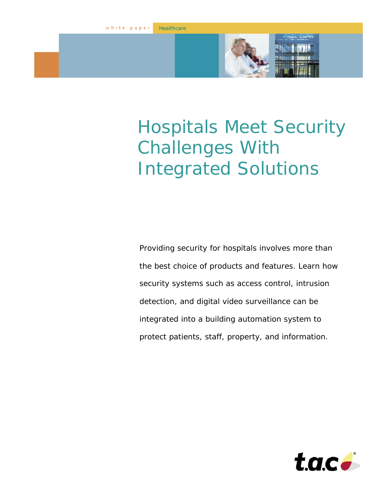white paper **Healthcare** 

# Hospitals Meet Security Challenges With Integrated Solutions

Providing security for hospitals involves more than the best choice of products and features. Learn how security systems such as access control, intrusion detection, and digital video surveillance can be integrated into a building automation system to protect patients, staff, property, and information.

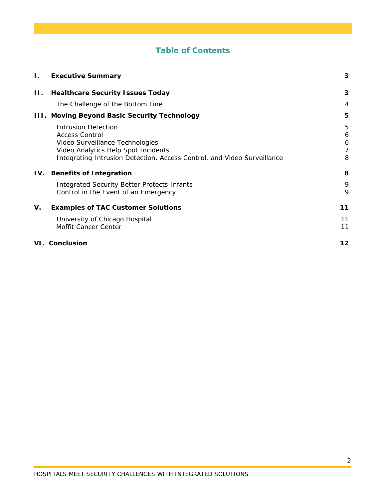# **Table of Contents**

| Ι.      | <b>Executive Summary</b>                                                                                                                                                                                 | 3                     |
|---------|----------------------------------------------------------------------------------------------------------------------------------------------------------------------------------------------------------|-----------------------|
| $\Pi$ . | <b>Healthcare Security Issues Today</b>                                                                                                                                                                  | 3                     |
|         | The Challenge of the Bottom Line                                                                                                                                                                         | 4                     |
|         | <b>III. Moving Beyond Basic Security Technology</b>                                                                                                                                                      | 5                     |
|         | <b>Intrusion Detection</b><br><b>Access Control</b><br>Video Surveillance Technologies<br>Video Analytics Help Spot Incidents<br>Integrating Intrusion Detection, Access Control, and Video Surveillance | 5<br>6<br>6<br>7<br>8 |
| IV.     | <b>Benefits of Integration</b>                                                                                                                                                                           | 8                     |
|         | <b>Integrated Security Better Protects Infants</b><br>Control in the Event of an Emergency                                                                                                               | 9<br>9                |
| V.      | <b>Examples of TAC Customer Solutions</b>                                                                                                                                                                | 11                    |
|         | University of Chicago Hospital<br>Moffit Cancer Center                                                                                                                                                   | 11<br>11              |
|         | VI. Conclusion                                                                                                                                                                                           | 12                    |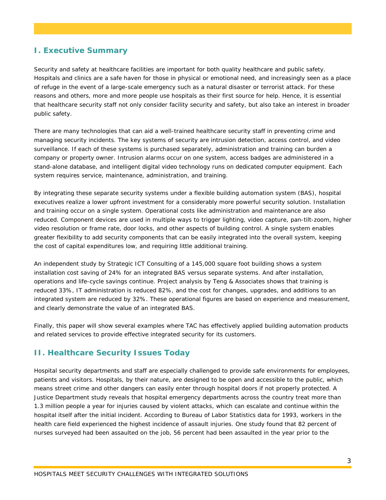# **I. Executive Summary**

Security and safety at healthcare facilities are important for both quality healthcare and public safety. Hospitals and clinics are a safe haven for those in physical or emotional need, and increasingly seen as a place of refuge in the event of a large-scale emergency such as a natural disaster or terrorist attack. For these reasons and others, more and more people use hospitals as their first source for help. Hence, it is essential that healthcare security staff not only consider facility security and safety, but also take an interest in broader public safety.

There are many technologies that can aid a well-trained healthcare security staff in preventing crime and managing security incidents. The key systems of security are intrusion detection, access control, and video surveillance. If each of these systems is purchased separately, administration and training can burden a company or property owner. Intrusion alarms occur on one system, access badges are administered in a stand-alone database, and intelligent digital video technology runs on dedicated computer equipment. Each system requires service, maintenance, administration, and training.

By integrating these separate security systems under a flexible building automation system (BAS), hospital executives realize a lower upfront investment for a considerably more powerful security solution. Installation and training occur on a single system. Operational costs like administration and maintenance are also reduced. Component devices are used in multiple ways to trigger lighting, video capture, pan-tilt-zoom, higher video resolution or frame rate, door locks, and other aspects of building control. A single system enables greater flexibility to add security components that can be easily integrated into the overall system, keeping the cost of capital expenditures low, and requiring little additional training.

An independent study by Strategic ICT Consulting of a 145,000 square foot building shows a system installation cost saving of 24% for an integrated BAS versus separate systems. And after installation, operations and life-cycle savings continue. Project analysis by Teng & Associates shows that training is reduced 33%, IT administration is reduced 82%, and the cost for changes, upgrades, and additions to an integrated system are reduced by 32%. These operational figures are based on experience and measurement, and clearly demonstrate the value of an integrated BAS.

Finally, this paper will show several examples where TAC has effectively applied building automation products and related services to provide effective integrated security for its customers.

# **II. Healthcare Security Issues Today**

Hospital security departments and staff are especially challenged to provide safe environments for employees, patients and visitors. Hospitals, by their nature, are designed to be open and accessible to the public, which means street crime and other dangers can easily enter through hospital doors if not properly protected. A Justice Department study reveals that hospital emergency departments across the country treat more than 1.3 million people a year for injuries caused by violent attacks, which can escalate and continue within the hospital itself after the initial incident. According to Bureau of Labor Statistics data for 1993, workers in the health care field experienced the highest incidence of assault injuries. One study found that 82 percent of nurses surveyed had been assaulted on the job, 56 percent had been assaulted in the year prior to the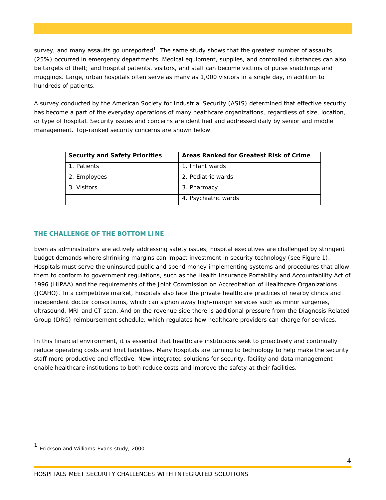survey, and many assaults go unreported<sup>[1](#page-3-0)</sup>. The same study shows that the greatest number of assaults (25%) occurred in emergency departments. Medical equipment, supplies, and controlled substances can also be targets of theft; and hospital patients, visitors, and staff can become victims of purse snatchings and muggings. Large, urban hospitals often serve as many as 1,000 visitors in a single day, in addition to hundreds of patients.

A survey conducted by the American Society for Industrial Security (ASIS) determined that effective security has become a part of the everyday operations of many healthcare organizations, regardless of size, location, or type of hospital. Security issues and concerns are identified and addressed daily by senior and middle management. Top-ranked security concerns are shown below.

| <b>Security and Safety Priorities</b> | Areas Ranked for Greatest Risk of Crime |
|---------------------------------------|-----------------------------------------|
| 1. Patients                           | 1. Infant wards                         |
| 2. Employees                          | 2. Pediatric wards                      |
| 3. Visitors                           | 3. Pharmacy                             |
|                                       | 4. Psychiatric wards                    |

## **THE CHALLENGE OF THE BOTTOM LINE**

Even as administrators are actively addressing safety issues, hospital executives are challenged by stringent budget demands where shrinking margins can impact investment in security technology (see Figure 1). Hospitals must serve the uninsured public and spend money implementing systems and procedures that allow them to conform to government regulations, such as the Health Insurance Portability and Accountability Act of 1996 (HIPAA) and the requirements of the Joint Commission on Accreditation of Healthcare Organizations (JCAHO). In a competitive market, hospitals also face the private healthcare practices of nearby clinics and independent doctor consortiums, which can siphon away high-margin services such as minor surgeries, ultrasound, MRI and CT scan. And on the revenue side there is additional pressure from the Diagnosis Related Group (DRG) reimbursement schedule, which regulates how healthcare providers can charge for services.

In this financial environment, it is essential that healthcare institutions seek to proactively and continually reduce operating costs and limit liabilities. Many hospitals are turning to technology to help make the security staff more productive and effective. New integrated solutions for security, facility and data management enable healthcare institutions to both reduce costs and improve the safety at their facilities.

 $\overline{a}$ 

<span id="page-3-0"></span><sup>1</sup> Erickson and Williams-Evans study, 2000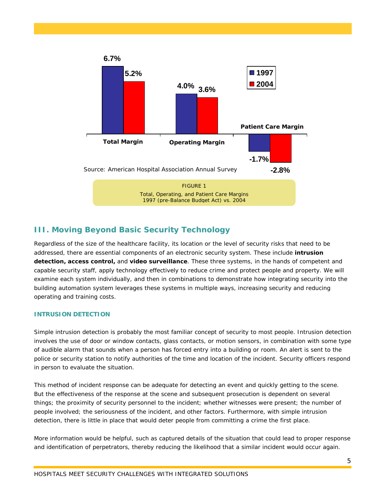

# **III. Moving Beyond Basic Security Technology**

Regardless of the size of the healthcare facility, its location or the level of security risks that need to be addressed, there are essential components of an electronic security system. These include **intrusion detection, access control,** and **video surveillance**. These three systems, in the hands of competent and capable security staff, apply technology effectively to reduce crime and protect people and property. We will examine each system individually, and then in combinations to demonstrate how integrating security into the building automation system leverages these systems in multiple ways, increasing security and reducing operating and training costs.

## **INTRUSION DETECTION**

Simple intrusion detection is probably the most familiar concept of security to most people. Intrusion detection involves the use of door or window contacts, glass contacts, or motion sensors, in combination with some type of audible alarm that sounds when a person has forced entry into a building or room. An alert is sent to the police or security station to notify authorities of the time and location of the incident. Security officers respond in person to evaluate the situation.

This method of incident response can be adequate for detecting an event and quickly getting to the scene. But the effectiveness of the response at the scene and subsequent prosecution is dependent on several things; the proximity of security personnel to the incident; whether witnesses were present; the number of people involved; the seriousness of the incident, and other factors. Furthermore, with simple intrusion detection, there is little in place that would deter people from committing a crime the first place.

More information would be helpful, such as captured details of the situation that could lead to proper response and identification of perpetrators, thereby reducing the likelihood that a similar incident would occur again.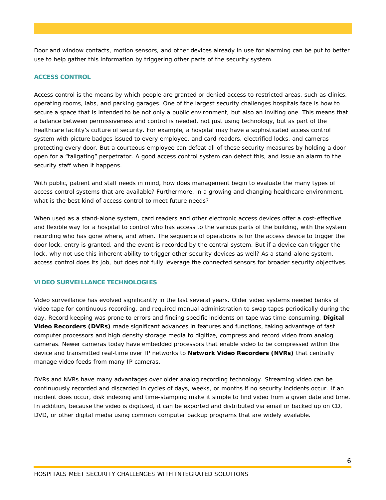Door and window contacts, motion sensors, and other devices already in use for alarming can be put to better use to help gather this information by triggering other parts of the security system.

#### **ACCESS CONTROL**

Access control is the means by which people are granted or denied access to restricted areas, such as clinics, operating rooms, labs, and parking garages. One of the largest security challenges hospitals face is how to secure a space that is intended to be not only a public environment, but also an inviting one. This means that a balance between permissiveness and control is needed, not just using technology, but as part of the healthcare facility's culture of security. For example, a hospital may have a sophisticated access control system with picture badges issued to every employee, and card readers, electrified locks, and cameras protecting every door. But a courteous employee can defeat all of these security measures by holding a door open for a "tailgating" perpetrator. A good access control system can detect this, and issue an alarm to the security staff when it happens.

With public, patient and staff needs in mind, how does management begin to evaluate the many types of access control systems that are available? Furthermore, in a growing and changing healthcare environment, what is the best kind of access control to meet future needs?

When used as a stand-alone system, card readers and other electronic access devices offer a cost-effective and flexible way for a hospital to control who has access to the various parts of the building, with the system recording who has gone where, and when. The sequence of operations is for the access device to trigger the door lock, entry is granted, and the event is recorded by the central system. But if a device can trigger the lock, why not use this inherent ability to trigger other security devices as well? As a stand-alone system, access control does its job, but does not fully leverage the connected sensors for broader security objectives.

#### **VIDEO SURVEILLANCE TECHNOLOGIES**

Video surveillance has evolved significantly in the last several years. Older video systems needed banks of video tape for continuous recording, and required manual administration to swap tapes periodically during the day. Record keeping was prone to errors and finding specific incidents on tape was time-consuming. **Digital Video Recorders (DVRs)** made significant advances in features and functions, taking advantage of fast computer processors and high density storage media to digitize, compress and record video from analog cameras. Newer cameras today have embedded processors that enable video to be compressed within the device and transmitted real-time over IP networks to **Network Video Recorders (NVRs)** that centrally manage video feeds from many IP cameras.

DVRs and NVRs have many advantages over older analog recording technology. Streaming video can be continuously recorded and discarded in cycles of days, weeks, or months if no security incidents occur. If an incident does occur, disk indexing and time-stamping make it simple to find video from a given date and time. In addition, because the video is digitized, it can be exported and distributed via email or backed up on CD, DVD, or other digital media using common computer backup programs that are widely available.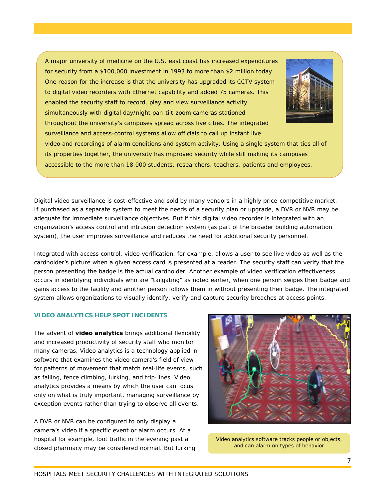A major university of medicine on the U.S. east coast has increased expenditures for security from a \$100,000 investment in 1993 to more than \$2 million today. One reason for the increase is that the university has upgraded its CCTV system to digital video recorders with Ethernet capability and added 75 cameras. This enabled the security staff to record, play and view surveillance activity simultaneously with digital day/night pan-tilt-zoom cameras stationed throughout the university's campuses spread across five cities. The integrated surveillance and access-control systems allow officials to call up instant live



video and recordings of alarm conditions and system activity. Using a single system that ties all of its properties together, the university has improved security while still making its campuses accessible to the more than 18,000 students, researchers, teachers, patients and employees.

Digital video surveillance is cost-effective and sold by many vendors in a highly price-competitive market. If purchased as a separate system to meet the needs of a security plan or upgrade, a DVR or NVR may be adequate for immediate surveillance objectives. But if this digital video recorder is integrated with an organization's access control and intrusion detection system (as part of the broader building automation system), the user improves surveillance and reduces the need for additional security personnel.

Integrated with access control, video verification, for example, allows a user to see live video as well as the cardholder's picture when a given access card is presented at a reader. The security staff can verify that the person presenting the badge is the actual cardholder. Another example of video verification effectiveness occurs in identifying individuals who are "tailgating" as noted earlier, when one person swipes their badge and gains access to the facility and another person follows them in without presenting their badge. The integrated system allows organizations to visually identify, verify and capture security breaches at access points.

## **VIDEO ANALYTICS HELP SPOT INCIDENTS**

The advent of **video analytics** brings additional flexibility and increased productivity of security staff who monitor many cameras. Video analytics is a technology applied in software that examines the video camera's field of view for patterns of movement that match real-life events, s uch as falling, fence climbing, lurking, and trip-lines. Video analytics provides a means by which the user can focus only on what is truly important, managing surveil lance by exception events rather than trying to observe all events.

A DVR or NVR can be configured to only display a camera's video if a specific event or alarm occurs. At a closed pharmacy may be considered normal. But lurking hospital for example, foot traffic in the evening past a



Video analytics software tracks people or objects, and can alarm on types of behavior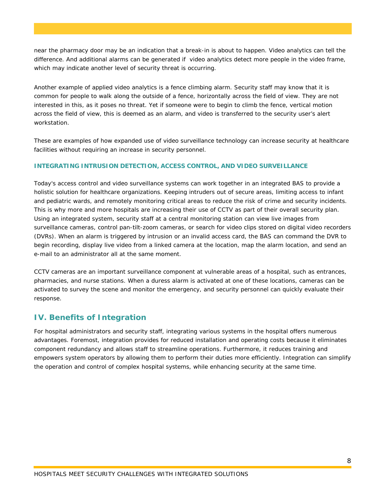near the pharmacy door may be an indication that a break-in is about to happen. Video analytics can tell the difference. And additional alarms can be generated if video analytics detect more people in the video frame, which may indicate another level of security threat is occurring.

Another example of applied video analytics is a fence climbing alarm. Security staff may know that it is common for people to walk along the outside of a fence, horizontally across the field of view. They are not interested in this, as it poses no threat. Yet if someone were to begin to climb the fence, vertical motion across the field of view, this is deemed as an alarm, and video is transferred to the security user's alert workstation.

These are examples of how expanded use of video surveillance technology can increase security at healthcare facilities without requiring an increase in security personnel.

#### **INTEGRATING INTRUSION DETECTION, ACCESS CONTROL, AND VIDEO SURVEILLANCE**

Today's access control and video surveillance systems can work together in an integrated BAS to provide a surveillance cameras, control pan-tilt-zoom cameras, or search for video clips stored on digital video recorders holistic solution for healthcare organizations. Keeping intruders out of secure areas, limiting access to infant and pediatric wards, and remotely monitoring critical areas to reduce the risk of crime and security incidents. This is why more and more hospitals are increasing their use of CCTV as part of their overall security plan. Using an integrated system, security staff at a central monitoring station can view live images from (DVRs). When an alarm is triggered by intrusion or an invalid access card, the BAS can command the DVR to begin recording, display live video from a linked camera at the location, map the alarm location, and send an e-mail to an administrator all at the same moment.

CTV cameras are an important surveillance component at vulnerable areas of a hospital, such as entrances, C pharmacies, and nurse stations. When a duress alarm is activated at one of these locations, cameras can be activated to survey the scene and monitor the emergency, and security personnel can quickly evaluate their response.

## **V. Benefits of Integration I**

For hospital administrators and security staff, integrating various systems in the hospital offers numerous advantages. Foremost, integration provides for reduced installation and operating costs because it eliminates empowers system operators by allowing them to perform their duties more efficiently. Integration can simplify component redundancy and allows staff to streamline operations. Furthermore, it reduces training and the operation and control of complex hospital systems, while enhancing security at the same time.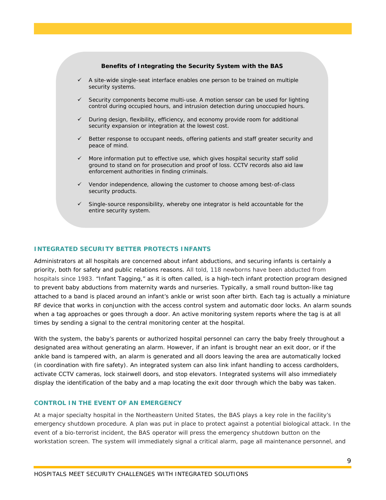#### **Benefits of Integrating the Security System with the BAS**

- $\checkmark$  A site-wide single-seat interface enables one person to be trained on multiple security systems.
- $\checkmark$  Security components become multi-use. A motion sensor can be used for lighting control during occupied hours, and intrusion detection during unoccupied hours.
- $\checkmark$  During design, flexibility, efficiency, and economy provide room for additional security expansion or integration at the lowest cost.
- $\checkmark$  Better response to occupant needs, offering patients and staff greater security and peace of mind.
- $\checkmark$  More information put to effective use, which gives hospital security staff solid ground to stand on for prosecution and proof of loss. CCTV records also aid law enforcement authorities in finding criminals.
- $\checkmark$  Vendor independence, allowing the customer to choose among best-of-class security products.
- $\checkmark$  Single-source responsibility, whereby one integrator is held accountable for the entire security system.

#### **INTEGRATED SECURITY BETTER PROTECTS INFANTS**

Administrators at all hospitals are concerned about infant abductions, and securing infants is certainly a priority, both for safety and public relations reasons. All told, 118 newborns have been abducted from hospitals since 1983. "Infant Tagging," as it is often called, is a high-tech infant protection program designed to prevent baby abductions from maternity wards and nurseries. Typically, a small round button-like tag attached to a band is placed around an infant's ankle or wrist soon after birth. Each tag is actually a miniature RF device that works in conjunction with the access control system and automatic door locks. An alarm sounds when a tag approaches or goes through a door. An active monitoring system reports where the tag is at all times by sending a signal to the central monitoring center at the hospital.

With the system, the baby's parents or authorized hospital personnel can carry the baby freely throughout a designated area without generating an alarm. However, if an infant is brought near an exit door, or if the ankle band is tampered with, an alarm is generated and all doors leaving the area are automatically locked (in coordination with fire safety). An integrated system can also link infant handling to access cardholders, activate CCTV cameras, lock stairwell doors, and stop elevators. Integrated systems will also immediately display the identification of the baby and a map locating the exit door through which the baby was taken.

## **CONTROL IN THE EVENT OF AN EMERGENCY**

At a major specialty hospital in the Northeastern United States, the BAS plays a key role in the facility's emergency shutdown procedure. A plan was put in place to protect against a potential biological attack. In the event of a bio-terrorist incident, the BAS operator will press the emergency shutdown button on the workstation screen. The system will immediately signal a critical alarm, page all maintenance personnel, and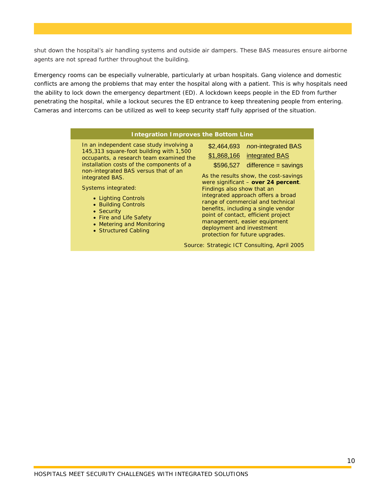shut down the hospital's air handling systems and outside air dampers. These BAS measures ensure airborne agents are not spread further throughout the building.

Emergency rooms can be especially vulnerable, particularly at urban hospitals. Gang violence and domestic conflicts are among the problems that may enter the hospital along with a patient. This is why hospitals need the ability to lock down the emergency department (ED). A lockdown keeps people in the ED from further penetrating the hospital, while a lockout secures the ED entrance to keep threatening people from entering. Cameras and intercoms can be utilized as well to keep security staff fully apprised of the situation.

| <b>Integration Improves the Bottom Line</b>                                                                                                                                                                                                                                                                                                                                                              |                                                                                                                                                                                                                                                                                                                                                                                                                                                                                                                              |  |  |  |
|----------------------------------------------------------------------------------------------------------------------------------------------------------------------------------------------------------------------------------------------------------------------------------------------------------------------------------------------------------------------------------------------------------|------------------------------------------------------------------------------------------------------------------------------------------------------------------------------------------------------------------------------------------------------------------------------------------------------------------------------------------------------------------------------------------------------------------------------------------------------------------------------------------------------------------------------|--|--|--|
| In an independent case study involving a<br>145,313 square-foot building with 1,500<br>occupants, a research team examined the<br>installation costs of the components of a<br>non-integrated BAS versus that of an<br>integrated BAS.<br>Systems integrated:<br>• Lighting Controls<br>• Building Controls<br>• Security<br>• Fire and Life Safety<br>• Metering and Monitoring<br>• Structured Cabling | \$2,464,693<br>non-integrated BAS<br>\$1,868,166<br>integrated BAS<br>$$596,527$ difference = savings<br>As the results show, the cost-savings<br>were significant - over 24 percent.<br>Findings also show that an<br>integrated approach offers a broad<br>range of commercial and technical<br>benefits, including a single vendor<br>point of contact, efficient project<br>management, easier equipment<br>deployment and investment<br>protection for future upgrades.<br>Source: Strategic ICT Consulting, April 2005 |  |  |  |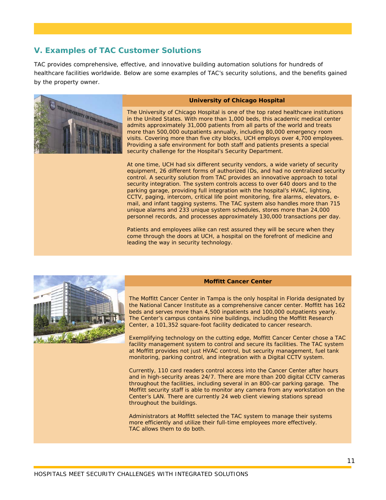# **V. Examples of TAC Customer Solutions**

TAC provides comprehensive, effective, and innovative building automation solutions for hundreds of healthcare facilities worldwide. Below are some examples of TAC's security solutions, and the benefits gained by the property owner.



#### **University of Chicago Hospital**

The University of Chicago Hospital is one of the top rated healthcare institutions in the United States. With more than 1,000 beds, this academic medical center admits approximately 31,000 patients from all parts of the world and treats more than 500,000 outpatients annually, including 80,000 emergency room visits. Covering more than five city blocks, UCH employs over 4,700 employees. Providing a safe environment for both staff and patients presents a special security challenge for the Hospital's Security Department.

At one time, UCH had six different security vendors, a wide variety of security equipment, 26 different forms of authorized IDs, and had no centralized security control. A security solution from TAC provides an innovative approach to total security integration. The system controls access to over 640 doors and to the parking garage, providing full integration with the hospital's HVAC, lighting, CCTV, paging, intercom, critical life point monitoring, fire alarms, elevators, email, and infant tagging systems. The TAC system also handles more than 715 unique alarms and 233 unique system schedules, stores more than 24,000 personnel records, and processes approximately 130,000 transactions per day.

Patients and employees alike can rest assured they will be secure when they come through the doors at UCH, a hospital on the forefront of medicine and leading the way in security technology.



## **Moffitt Cancer Center**

The Moffitt Cancer Center in Tampa is the only hospital in Florida designated by the National Cancer Institute as a comprehensive cancer center. Moffitt has 162 beds and serves more than 4,500 inpatients and 100,000 outpatients yearly. The Center's campus contains nine buildings, including the Moffitt Research Center, a 101,352 square-foot facility dedicated to cancer research.

Exemplifying technology on the cutting edge, Moffitt Cancer Center chose a TAC facility management system to control and secure its facilities. The TAC system at Moffitt provides not just HVAC control, but security management, fuel tank monitoring, parking control, and integration with a Digital CCTV system.

Currently, 110 card readers control access into the Cancer Center after hours and in high-security areas 24/7. There are more than 200 digital CCTV cameras throughout the facilities, including several in an 800-car parking garage. The Moffitt security staff is able to monitor any camera from any workstation on the Center's LAN. There are currently 24 web client viewing stations spread throughout the buildings.

Administrators at Moffitt selected the TAC system to manage their systems more efficiently and utilize their full-time employees more effectively. TAC allows them to do both.